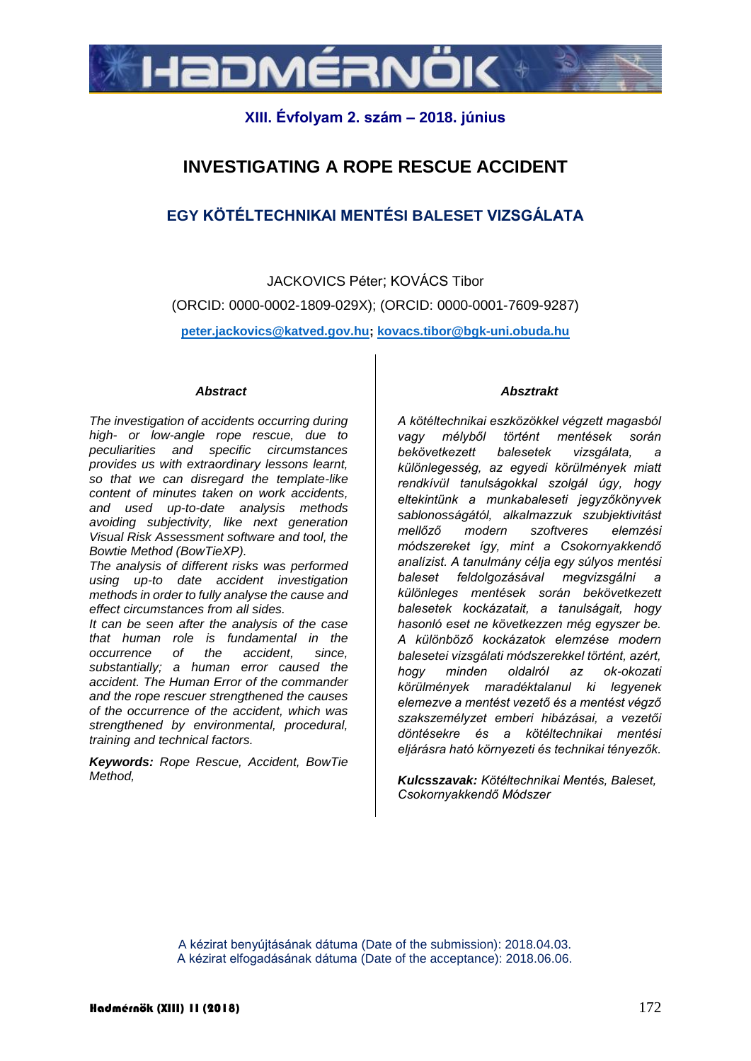

# **XIII. Évfolyam 2. szám – 2018. június**

# **INVESTIGATING A ROPE RESCUE ACCIDENT**

# **EGY KÖTÉLTECHNIKAI MENTÉSI BALESET VIZSGÁLATA**

JACKOVICS Péter; KOVÁCS Tibor (ORCID: 0000-0002-1809-029X); (ORCID: 0000-0001-7609-9287) **peter.jackovics@katved.gov.hu; kovacs.tibor@bgk-uni.obuda.hu**

#### *Abstract*

*The investigation of accidents occurring during high- or low-angle rope rescue, due to peculiarities and specific circumstances provides us with extraordinary lessons learnt, so that we can disregard the template-like content of minutes taken on work accidents, and used up-to-date analysis methods avoiding subjectivity, like next generation Visual Risk Assessment software and tool, the Bowtie Method (BowTieXP).*

*The analysis of different risks was performed using up-to date accident investigation methods in order to fully analyse the cause and effect circumstances from all sides.*

*It can be seen after the analysis of the case that human role is fundamental in the occurrence of the accident, since, substantially; a human error caused the accident. The Human Error of the commander and the rope rescuer strengthened the causes of the occurrence of the accident, which was strengthened by environmental, procedural, training and technical factors.*

*Keywords: Rope Rescue, Accident, BowTie Method,* 

#### *Absztrakt*

*A kötéltechnikai eszközökkel végzett magasból vagy mélyből történt mentések során bekövetkezett balesetek vizsgálata, a különlegesség, az egyedi körülmények miatt rendkívül tanulságokkal szolgál úgy, hogy eltekintünk a munkabaleseti jegyzőkönyvek sablonosságától, alkalmazzuk szubjektivitást mellőző modern szoftveres elemzési módszereket így, mint a Csokornyakkendő analízist. A tanulmány célja egy súlyos mentési baleset feldolgozásával megvizsgálni a különleges mentések során bekövetkezett balesetek kockázatait, a tanulságait, hogy hasonló eset ne következzen még egyszer be. A különböző kockázatok elemzése modern balesetei vizsgálati módszerekkel történt, azért, hogy minden oldalról az ok-okozati körülmények maradéktalanul ki legyenek elemezve a mentést vezető és a mentést végző szakszemélyzet emberi hibázásai, a vezetői döntésekre és a kötéltechnikai mentési eljárásra ható környezeti és technikai tényezők.*

*Kulcsszavak: Kötéltechnikai Mentés, Baleset, Csokornyakkendő Módszer*

A kézirat benyújtásának dátuma (Date of the submission): 2018.04.03. A kézirat elfogadásának dátuma (Date of the acceptance): 2018.06.06.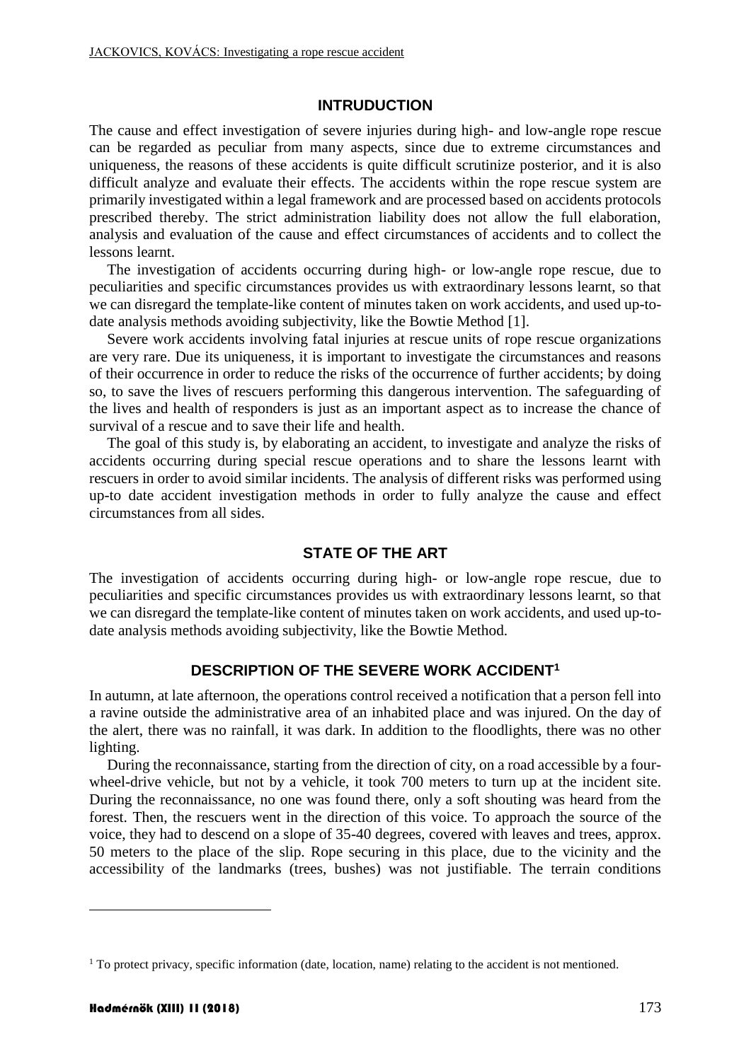### **INTRUDUCTION**

The cause and effect investigation of severe injuries during high- and low-angle rope rescue can be regarded as peculiar from many aspects, since due to extreme circumstances and uniqueness, the reasons of these accidents is quite difficult scrutinize posterior, and it is also difficult analyze and evaluate their effects. The accidents within the rope rescue system are primarily investigated within a legal framework and are processed based on accidents protocols prescribed thereby. The strict administration liability does not allow the full elaboration, analysis and evaluation of the cause and effect circumstances of accidents and to collect the lessons learnt.

The investigation of accidents occurring during high- or low-angle rope rescue, due to peculiarities and specific circumstances provides us with extraordinary lessons learnt, so that we can disregard the template-like content of minutes taken on work accidents, and used up-todate analysis methods avoiding subjectivity, like the Bowtie Method [\[1\].](#page-8-0)

Severe work accidents involving fatal injuries at rescue units of rope rescue organizations are very rare. Due its uniqueness, it is important to investigate the circumstances and reasons of their occurrence in order to reduce the risks of the occurrence of further accidents; by doing so, to save the lives of rescuers performing this dangerous intervention. The safeguarding of the lives and health of responders is just as an important aspect as to increase the chance of survival of a rescue and to save their life and health.

The goal of this study is, by elaborating an accident, to investigate and analyze the risks of accidents occurring during special rescue operations and to share the lessons learnt with rescuers in order to avoid similar incidents. The analysis of different risks was performed using up-to date accident investigation methods in order to fully analyze the cause and effect circumstances from all sides.

## **STATE OF THE ART**

The investigation of accidents occurring during high- or low-angle rope rescue, due to peculiarities and specific circumstances provides us with extraordinary lessons learnt, so that we can disregard the template-like content of minutes taken on work accidents, and used up-todate analysis methods avoiding subjectivity, like the Bowtie Method.

# **DESCRIPTION OF THE SEVERE WORK ACCIDENT<sup>1</sup>**

In autumn, at late afternoon, the operations control received a notification that a person fell into a ravine outside the administrative area of an inhabited place and was injured. On the day of the alert, there was no rainfall, it was dark. In addition to the floodlights, there was no other lighting.

During the reconnaissance, starting from the direction of city, on a road accessible by a fourwheel-drive vehicle, but not by a vehicle, it took 700 meters to turn up at the incident site. During the reconnaissance, no one was found there, only a soft shouting was heard from the forest. Then, the rescuers went in the direction of this voice. To approach the source of the voice, they had to descend on a slope of 35-40 degrees, covered with leaves and trees, approx. 50 meters to the place of the slip. Rope securing in this place, due to the vicinity and the accessibility of the landmarks (trees, bushes) was not justifiable. The terrain conditions

1

<sup>&</sup>lt;sup>1</sup> To protect privacy, specific information (date, location, name) relating to the accident is not mentioned.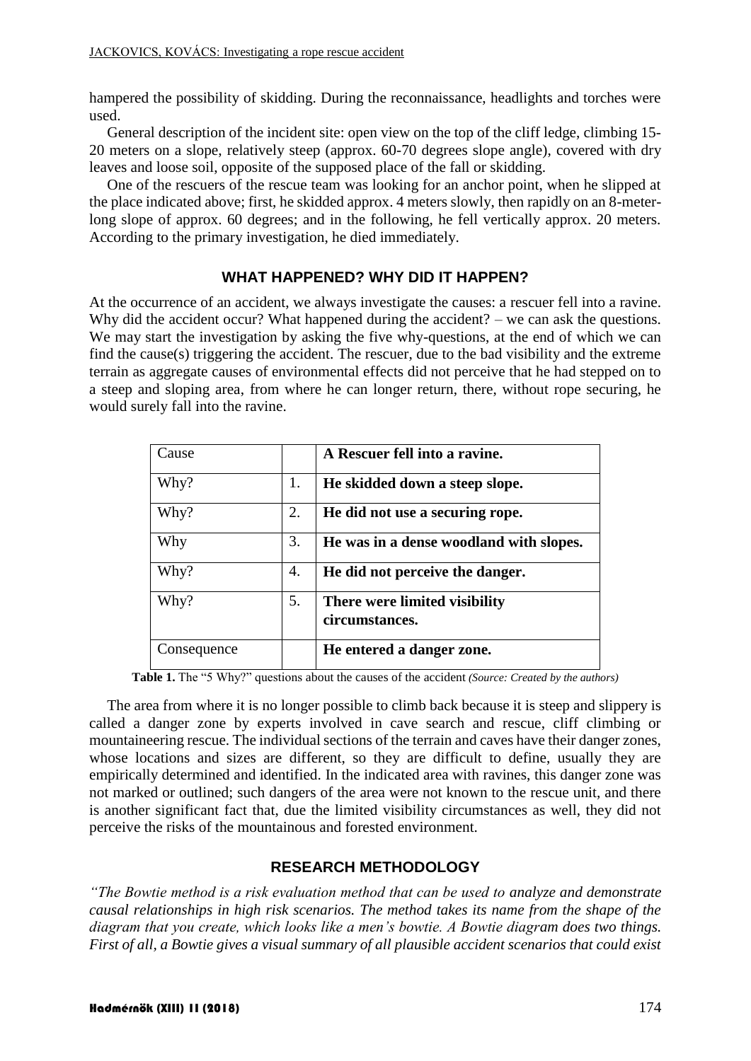hampered the possibility of skidding. During the reconnaissance, headlights and torches were used.

General description of the incident site: open view on the top of the cliff ledge, climbing 15- 20 meters on a slope, relatively steep (approx. 60-70 degrees slope angle), covered with dry leaves and loose soil, opposite of the supposed place of the fall or skidding.

One of the rescuers of the rescue team was looking for an anchor point, when he slipped at the place indicated above; first, he skidded approx. 4 meters slowly, then rapidly on an 8-meterlong slope of approx. 60 degrees; and in the following, he fell vertically approx. 20 meters. According to the primary investigation, he died immediately.

# **WHAT HAPPENED? WHY DID IT HAPPEN?**

At the occurrence of an accident, we always investigate the causes: a rescuer fell into a ravine. Why did the accident occur? What happened during the accident? – we can ask the questions. We may start the investigation by asking the five why-questions, at the end of which we can find the cause(s) triggering the accident. The rescuer, due to the bad visibility and the extreme terrain as aggregate causes of environmental effects did not perceive that he had stepped on to a steep and sloping area, from where he can longer return, there, without rope securing, he would surely fall into the ravine.

| Cause       |    | A Rescuer fell into a ravine.                   |
|-------------|----|-------------------------------------------------|
| Why?        | 1. | He skidded down a steep slope.                  |
| Why?        | 2. | He did not use a securing rope.                 |
| Why         | 3. | He was in a dense woodland with slopes.         |
| Why?        | 4. | He did not perceive the danger.                 |
| Why?        | 5. | There were limited visibility<br>circumstances. |
| Consequence |    | He entered a danger zone.                       |

**Table 1.** The "5 Why?" questions about the causes of the accident *(Source: Created by the authors)*

The area from where it is no longer possible to climb back because it is steep and slippery is called a danger zone by experts involved in cave search and rescue, cliff climbing or mountaineering rescue. The individual sections of the terrain and caves have their danger zones, whose locations and sizes are different, so they are difficult to define, usually they are empirically determined and identified. In the indicated area with ravines, this danger zone was not marked or outlined; such dangers of the area were not known to the rescue unit, and there is another significant fact that, due the limited visibility circumstances as well, they did not perceive the risks of the mountainous and forested environment.

## **RESEARCH METHODOLOGY**

*"The Bowtie method is a risk evaluation method that can be used to analyze and demonstrate causal relationships in high risk scenarios. The method takes its name from the shape of the diagram that you create, which looks like a men's bowtie. A Bowtie diagram does two things. First of all, a Bowtie gives a visual summary of all plausible accident scenarios that could exist*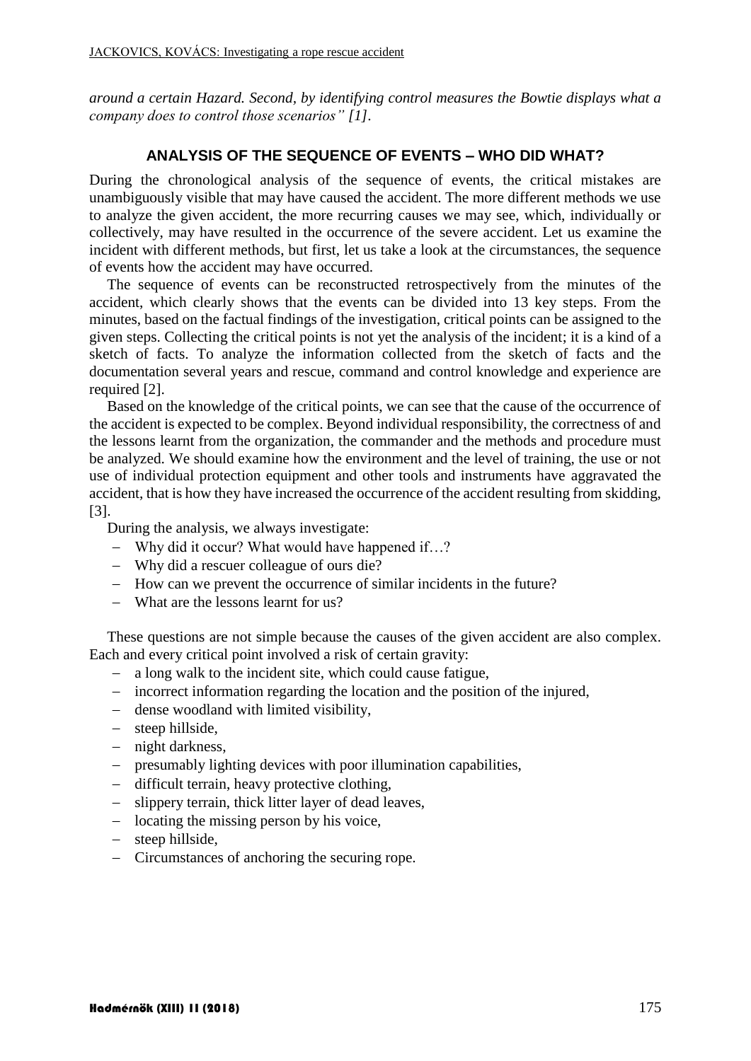*around a certain Hazard. Second, by identifying control measures the Bowtie displays what a company does to control those scenarios" [\[1\].](#page-8-1)*

#### **ANALYSIS OF THE SEQUENCE OF EVENTS – WHO DID WHAT?**

During the chronological analysis of the sequence of events, the critical mistakes are unambiguously visible that may have caused the accident. The more different methods we use to analyze the given accident, the more recurring causes we may see, which, individually or collectively, may have resulted in the occurrence of the severe accident. Let us examine the incident with different methods, but first, let us take a look at the circumstances, the sequence of events how the accident may have occurred.

The sequence of events can be reconstructed retrospectively from the minutes of the accident, which clearly shows that the events can be divided into 13 key steps. From the minutes, based on the factual findings of the investigation, critical points can be assigned to the given steps. Collecting the critical points is not yet the analysis of the incident; it is a kind of a sketch of facts. To analyze the information collected from the sketch of facts and the documentation several years and rescue, command and control knowledge and experience are required [\[2\].](#page-8-2)

Based on the knowledge of the critical points, we can see that the cause of the occurrence of the accident is expected to be complex. Beyond individual responsibility, the correctness of and the lessons learnt from the organization, the commander and the methods and procedure must be analyzed. We should examine how the environment and the level of training, the use or not use of individual protection equipment and other tools and instruments have aggravated the accident, that is how they have increased the occurrence of the accident resulting from skidding, [\[3\].](#page-8-3)

During the analysis, we always investigate:

- Why did it occur? What would have happened if…?
- Why did a rescuer colleague of ours die?
- How can we prevent the occurrence of similar incidents in the future?
- What are the lessons learnt for us?

These questions are not simple because the causes of the given accident are also complex. Each and every critical point involved a risk of certain gravity:

- a long walk to the incident site, which could cause fatigue,
- incorrect information regarding the location and the position of the injured,
- dense woodland with limited visibility,
- steep hillside,
- night darkness,
- $\blacksquare$  presumably lighting devices with poor illumination capabilities.
- difficult terrain, heavy protective clothing,
- slippery terrain, thick litter layer of dead leaves,
- $\overline{\phantom{a}}$  locating the missing person by his voice,
- steep hillside.
- Circumstances of anchoring the securing rope.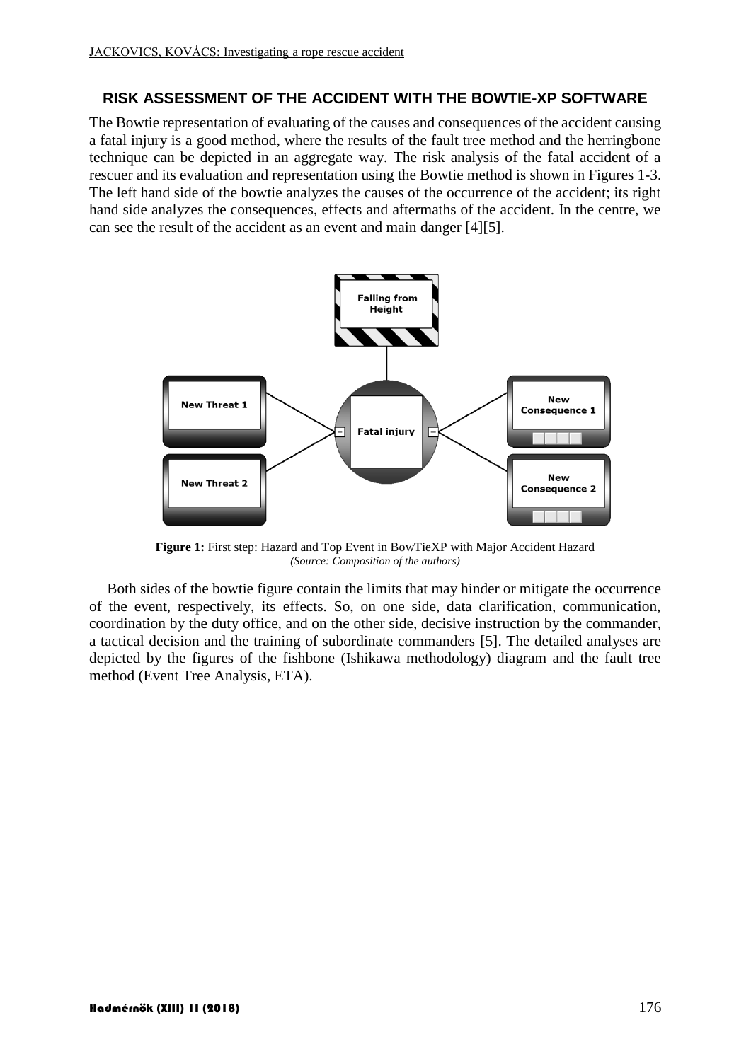### **RISK ASSESSMENT OF THE ACCIDENT WITH THE BOWTIE-XP SOFTWARE**

The Bowtie representation of evaluating of the causes and consequences of the accident causing a fatal injury is a good method, where the results of the fault tree method and the herringbone technique can be depicted in an aggregate way. The risk analysis of the fatal accident of a rescuer and its evaluation and representation using the Bowtie method is shown in Figures 1-3. The left hand side of the bowtie analyzes the causes of the occurrence of the accident; its right hand side analyzes the consequences, effects and aftermaths of the accident. In the centre, we can see the result of the accident as an event and main danger [\[4\]\[5\].](#page-8-4)



**Figure 1:** First step: Hazard and Top Event in BowTieXP with Major Accident Hazard *(Source: Composition of the authors)*

Both sides of the bowtie figure contain the limits that may hinder or mitigate the occurrence of the event, respectively, its effects. So, on one side, data clarification, communication, coordination by the duty office, and on the other side, decisive instruction by the commander, a tactical decision and the training of subordinate commanders [\[5\].](#page-8-5) The detailed analyses are depicted by the figures of the fishbone (Ishikawa methodology) diagram and the fault tree method (Event Tree Analysis, ETA).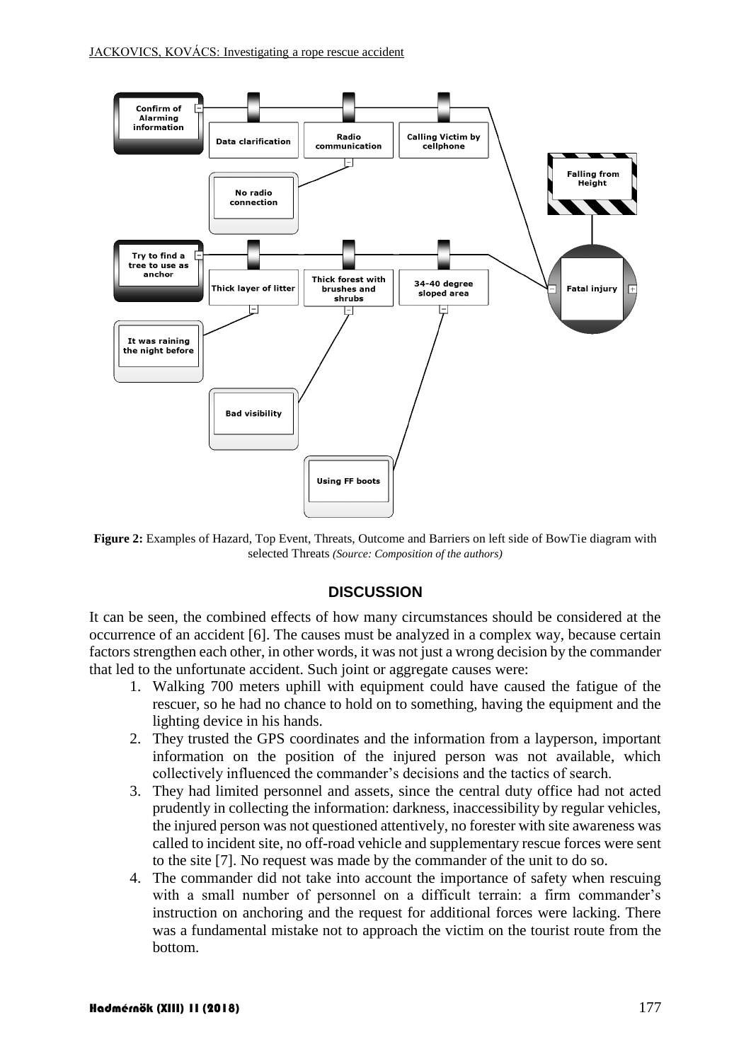

**Figure 2:** Examples of Hazard, Top Event, Threats, Outcome and Barriers on left side of BowTie diagram with selected Threats *(Source: Composition of the authors)*

#### **DISCUSSION**

It can be seen, the combined effects of how many circumstances should be considered at the occurrence of an accident [\[6\].](#page-8-6) The causes must be analyzed in a complex way, because certain factors strengthen each other, in other words, it was not just a wrong decision by the commander that led to the unfortunate accident. Such joint or aggregate causes were:

- 1. Walking 700 meters uphill with equipment could have caused the fatigue of the rescuer, so he had no chance to hold on to something, having the equipment and the lighting device in his hands.
- 2. They trusted the GPS coordinates and the information from a layperson, important information on the position of the injured person was not available, which collectively influenced the commander's decisions and the tactics of search.
- 3. They had limited personnel and assets, since the central duty office had not acted prudently in collecting the information: darkness, inaccessibility by regular vehicles, the injured person was not questioned attentively, no forester with site awareness was called to incident site, no off-road vehicle and supplementary rescue forces were sent to the site [\[7\].](#page-8-7) No request was made by the commander of the unit to do so.
- 4. The commander did not take into account the importance of safety when rescuing with a small number of personnel on a difficult terrain: a firm commander's instruction on anchoring and the request for additional forces were lacking. There was a fundamental mistake not to approach the victim on the tourist route from the bottom.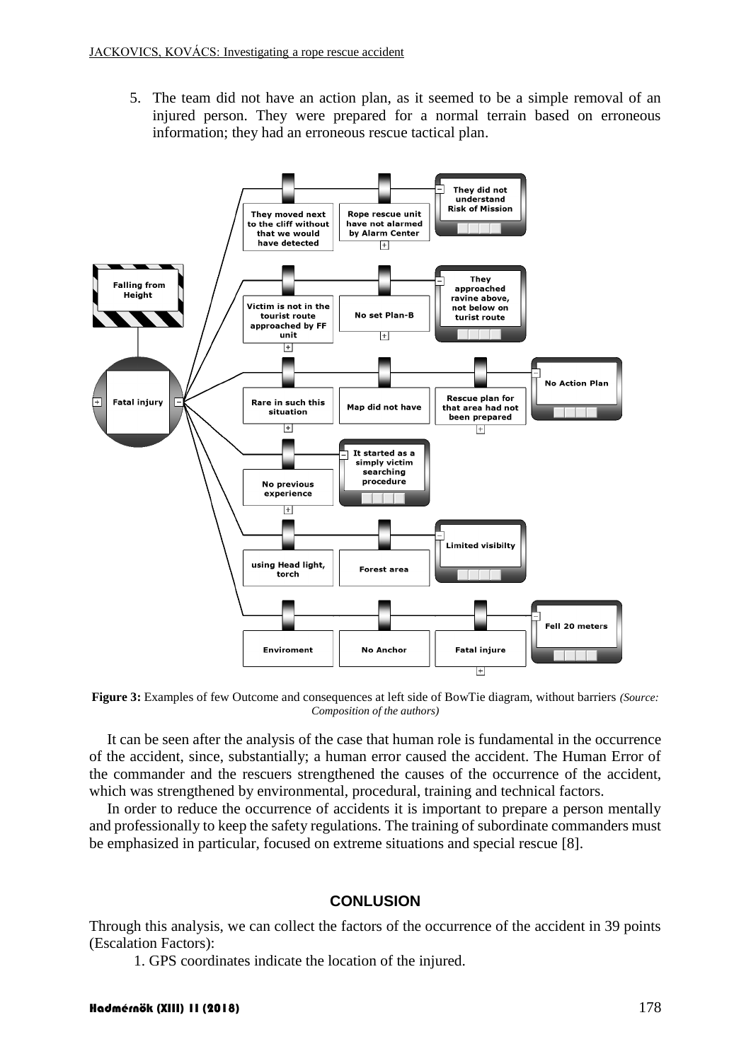5. The team did not have an action plan, as it seemed to be a simple removal of an injured person. They were prepared for a normal terrain based on erroneous information; they had an erroneous rescue tactical plan.



**Figure 3:** Examples of few Outcome and consequences at left side of BowTie diagram, without barriers *(Source: Composition of the authors)*

It can be seen after the analysis of the case that human role is fundamental in the occurrence of the accident, since, substantially; a human error caused the accident. The Human Error of the commander and the rescuers strengthened the causes of the occurrence of the accident, which was strengthened by environmental, procedural, training and technical factors.

In order to reduce the occurrence of accidents it is important to prepare a person mentally and professionally to keep the safety regulations. The training of subordinate commanders must be emphasized in particular, focused on extreme situations and special rescue [\[8\].](#page-9-0)

#### **CONLUSION**

Through this analysis, we can collect the factors of the occurrence of the accident in 39 points (Escalation Factors):

1. GPS coordinates indicate the location of the injured.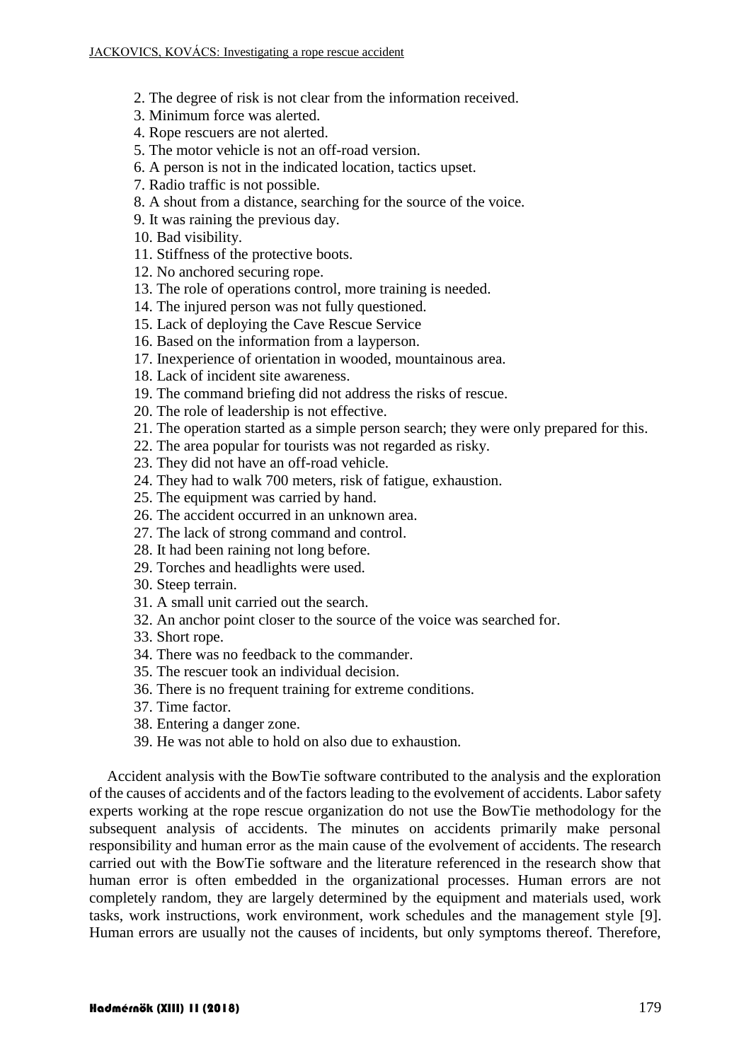- 2. The degree of risk is not clear from the information received.
- 3. Minimum force was alerted.
- 4. Rope rescuers are not alerted.
- 5. The motor vehicle is not an off-road version.
- 6. A person is not in the indicated location, tactics upset.
- 7. Radio traffic is not possible.
- 8. A shout from a distance, searching for the source of the voice.
- 9. It was raining the previous day.
- 10. Bad visibility.
- 11. Stiffness of the protective boots.
- 12. No anchored securing rope.
- 13. The role of operations control, more training is needed.
- 14. The injured person was not fully questioned.
- 15. Lack of deploying the Cave Rescue Service
- 16. Based on the information from a layperson.
- 17. Inexperience of orientation in wooded, mountainous area.
- 18. Lack of incident site awareness.
- 19. The command briefing did not address the risks of rescue.
- 20. The role of leadership is not effective.
- 21. The operation started as a simple person search; they were only prepared for this.
- 22. The area popular for tourists was not regarded as risky.
- 23. They did not have an off-road vehicle.
- 24. They had to walk 700 meters, risk of fatigue, exhaustion.
- 25. The equipment was carried by hand.
- 26. The accident occurred in an unknown area.
- 27. The lack of strong command and control.
- 28. It had been raining not long before.
- 29. Torches and headlights were used.
- 30. Steep terrain.
- 31. A small unit carried out the search.
- 32. An anchor point closer to the source of the voice was searched for.
- 33. Short rope.
- 34. There was no feedback to the commander.
- 35. The rescuer took an individual decision.
- 36. There is no frequent training for extreme conditions.
- 37. Time factor.
- 38. Entering a danger zone.
- 39. He was not able to hold on also due to exhaustion.

Accident analysis with the BowTie software contributed to the analysis and the exploration of the causes of accidents and of the factors leading to the evolvement of accidents. Labor safety experts working at the rope rescue organization do not use the BowTie methodology for the subsequent analysis of accidents. The minutes on accidents primarily make personal responsibility and human error as the main cause of the evolvement of accidents. The research carried out with the BowTie software and the literature referenced in the research show that human error is often embedded in the organizational processes. Human errors are not completely random, they are largely determined by the equipment and materials used, work tasks, work instructions, work environment, work schedules and the management style [\[9\].](#page-9-1) Human errors are usually not the causes of incidents, but only symptoms thereof. Therefore,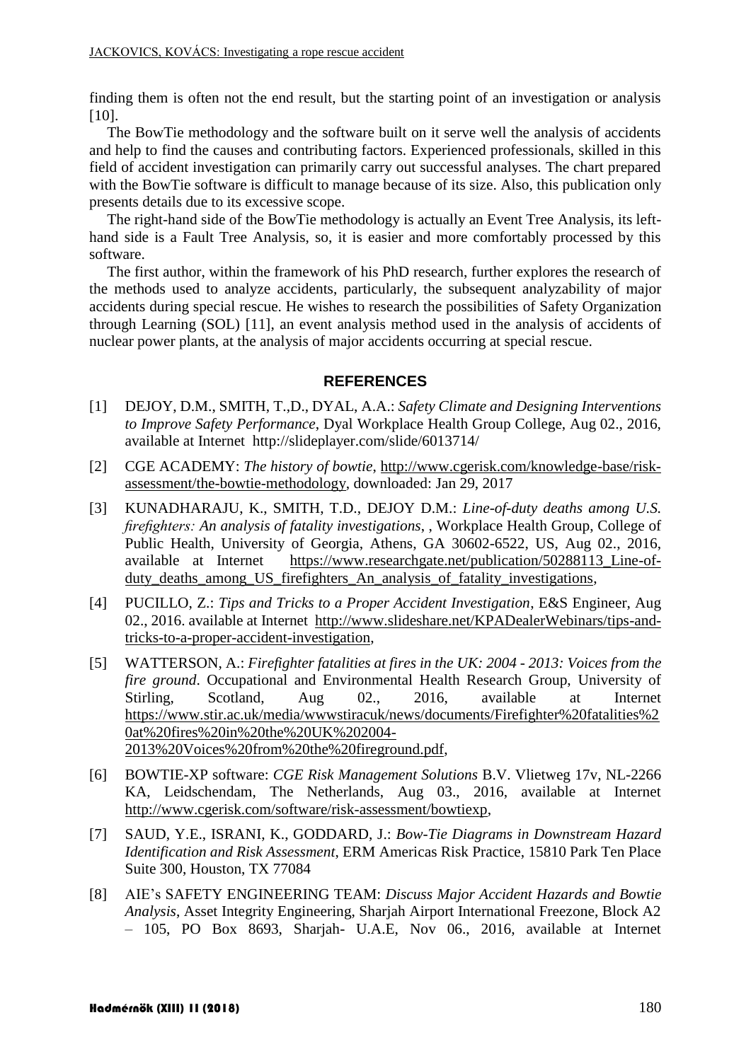finding them is often not the end result, but the starting point of an investigation or analysis [\[10\].](#page-9-2)

The BowTie methodology and the software built on it serve well the analysis of accidents and help to find the causes and contributing factors. Experienced professionals, skilled in this field of accident investigation can primarily carry out successful analyses. The chart prepared with the BowTie software is difficult to manage because of its size. Also, this publication only presents details due to its excessive scope.

The right-hand side of the BowTie methodology is actually an Event Tree Analysis, its lefthand side is a Fault Tree Analysis, so, it is easier and more comfortably processed by this software.

The first author, within the framework of his PhD research, further explores the research of the methods used to analyze accidents, particularly, the subsequent analyzability of major accidents during special rescue. He wishes to research the possibilities of Safety Organization through Learning (SOL) [\[11\],](#page-9-3) an event analysis method used in the analysis of accidents of nuclear power plants, at the analysis of major accidents occurring at special rescue.

### <span id="page-8-4"></span><span id="page-8-3"></span><span id="page-8-2"></span><span id="page-8-1"></span>**REFERENCES**

- <span id="page-8-0"></span>[1] DEJOY, D.M., SMITH, T.,D., DYAL, A.A.: *Safety Climate and Designing Interventions to Improve Safety Performance*, Dyal Workplace Health Group College, Aug 02., 2016, available at Internet <http://slideplayer.com/slide/6013714/>
- [2] CGE ACADEMY: *The history of bowtie*, [http://www.cgerisk.com/knowledge-base/risk](http://www.cgerisk.com/knowledge-base/risk-assessment/the-bowtie-methodology)[assessment/the-bowtie-methodology,](http://www.cgerisk.com/knowledge-base/risk-assessment/the-bowtie-methodology) downloaded: Jan 29, 2017
- [3] KUNADHARAJU, K., SMITH, T.D., DEJOY D.M.: *Line-of-duty deaths among U.S. firefighters: An analysis of fatality investigations*, , Workplace Health Group, College of Public Health, University of Georgia, Athens, GA 30602-6522, US, Aug 02., 2016, available at Internet [https://www.researchgate.net/publication/50288113\\_Line-of](https://www.researchgate.net/publication/50288113_Line-of-duty_deaths_among_US_firefighters_An_analysis_of_fatality_investigations)[duty\\_deaths\\_among\\_US\\_firefighters\\_An\\_analysis\\_of\\_fatality\\_investigations,](https://www.researchgate.net/publication/50288113_Line-of-duty_deaths_among_US_firefighters_An_analysis_of_fatality_investigations)
- [4] PUCILLO, Z.: *Tips and Tricks to a Proper Accident Investigation*, E&S Engineer, Aug 02., 2016. available at Internet [http://www.slideshare.net/KPADealerWebinars/tips-and](http://www.slideshare.net/KPADealerWebinars/tips-and-tricks-to-a-proper-accident-investigation)[tricks-to-a-proper-accident-investigation,](http://www.slideshare.net/KPADealerWebinars/tips-and-tricks-to-a-proper-accident-investigation)
- [5] WATTERSON, A.: *Firefighter fatalities at fires in the UK: 2004 - 2013: Voices from the fire ground*. Occupational and Environmental Health Research Group, University of Stirling, Scotland, Aug 02., 2016, available at Internet [https://www.stir.ac.uk/media/wwwstiracuk/news/documents/Firefighter%20fatalities%2](https://www.stir.ac.uk/media/wwwstiracuk/news/documents/Firefighter%20fatalities%20at%20fires%20in%20the%20UK%202004-2013%20Voices%20from%20the%20fireground.pdf) [0at%20fires%20in%20the%20UK%202004-](https://www.stir.ac.uk/media/wwwstiracuk/news/documents/Firefighter%20fatalities%20at%20fires%20in%20the%20UK%202004-2013%20Voices%20from%20the%20fireground.pdf) [2013%20Voices%20from%20the%20fireground.pdf,](https://www.stir.ac.uk/media/wwwstiracuk/news/documents/Firefighter%20fatalities%20at%20fires%20in%20the%20UK%202004-2013%20Voices%20from%20the%20fireground.pdf)
- <span id="page-8-5"></span>[6] BOWTIE-XP software: *CGE Risk Management Solutions* B.V. Vlietweg 17v, NL-2266 KA, Leidschendam, The Netherlands, Aug 03., 2016, available at Internet [http://www.cgerisk.com/software/risk-assessment/bowtiexp,](http://www.cgerisk.com/software/risk-assessment/bowtiexp)
- <span id="page-8-6"></span>[7] SAUD, Y.E., ISRANI, K., GODDARD, J.: *Bow-Tie Diagrams in Downstream Hazard Identification and Risk Assessment*, ERM Americas Risk Practice, 15810 Park Ten Place Suite 300, Houston, TX 77084
- <span id="page-8-7"></span>[8] AIE's SAFETY ENGINEERING TEAM: *Discuss Major Accident Hazards and Bowtie Analysis*, Asset Integrity Engineering, Sharjah Airport International Freezone, Block A2 – 105, PO Box 8693, Sharjah- U.A.E, Nov 06., 2016, available at Internet